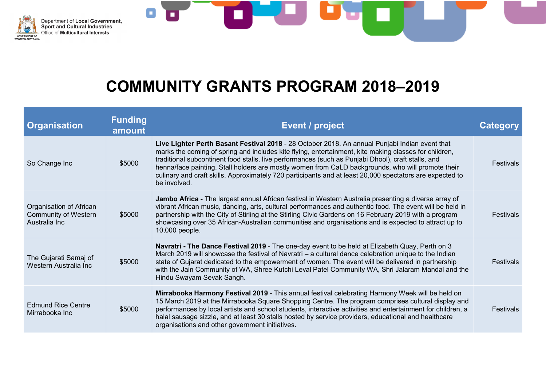



| <b>Organisation</b>                                                     | <b>Funding</b><br>amount | Event / project                                                                                                                                                                                                                                                                                                                                                                                                                                                                                                                                | Catedory         |
|-------------------------------------------------------------------------|--------------------------|------------------------------------------------------------------------------------------------------------------------------------------------------------------------------------------------------------------------------------------------------------------------------------------------------------------------------------------------------------------------------------------------------------------------------------------------------------------------------------------------------------------------------------------------|------------------|
| So Change Inc                                                           | \$5000                   | Live Lighter Perth Basant Festival 2018 - 28 October 2018. An annual Punjabi Indian event that<br>marks the coming of spring and includes kite flying, entertainment, kite making classes for children,<br>traditional subcontinent food stalls, live performances (such as Punjabi Dhool), craft stalls, and<br>henna/face painting. Stall holders are mostly women from CaLD backgrounds, who will promote their<br>culinary and craft skills. Approximately 720 participants and at least 20,000 spectators are expected to<br>be involved. | Festivals        |
| Organisation of African<br><b>Community of Western</b><br>Australia Inc | \$5000                   | Jambo Africa - The largest annual African festival in Western Australia presenting a diverse array of<br>vibrant African music, dancing, arts, cultural performances and authentic food. The event will be held in<br>partnership with the City of Stirling at the Stirling Civic Gardens on 16 February 2019 with a program<br>showcasing over 35 African-Australian communities and organisations and is expected to attract up to<br>10,000 people.                                                                                         | <b>Festivals</b> |
| The Gujarati Samaj of<br>Western Australia Inc                          | \$5000                   | <b>Navratri - The Dance Festival 2019 - The one-day event to be held at Elizabeth Quay, Perth on 3</b><br>March 2019 will showcase the festival of Navratri – a cultural dance celebration unique to the Indian<br>state of Gujarat dedicated to the empowerment of women. The event will be delivered in partnership<br>with the Jain Community of WA, Shree Kutchi Leval Patel Community WA, Shri Jalaram Mandal and the<br>Hindu Swayam Sevak Sangh.                                                                                        | <b>Festivals</b> |
| <b>Edmund Rice Centre</b><br>Mirrabooka Inc                             | \$5000                   | Mirrabooka Harmony Festival 2019 - This annual festival celebrating Harmony Week will be held on<br>15 March 2019 at the Mirrabooka Square Shopping Centre. The program comprises cultural display and<br>performances by local artists and school students, interactive activities and entertainment for children, a<br>halal sausage sizzle, and at least 30 stalls hosted by service providers, educational and healthcare<br>organisations and other government initiatives.                                                               | <b>Festivals</b> |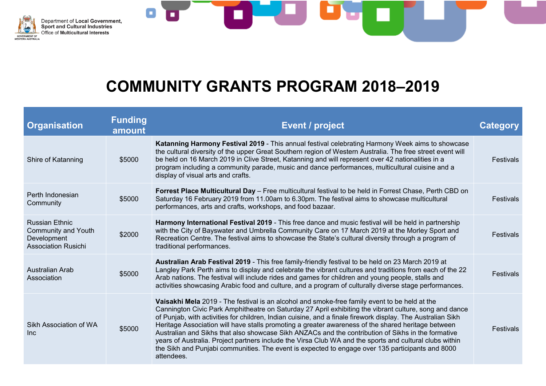



| <b>Organisation</b>                                                                              | <b>Funding</b><br>amount | <b>Event / project</b>                                                                                                                                                                                                                                                                                                                                                                                                                                                                                                                                                                                                                                                                                                                                          | <b>Category</b>  |
|--------------------------------------------------------------------------------------------------|--------------------------|-----------------------------------------------------------------------------------------------------------------------------------------------------------------------------------------------------------------------------------------------------------------------------------------------------------------------------------------------------------------------------------------------------------------------------------------------------------------------------------------------------------------------------------------------------------------------------------------------------------------------------------------------------------------------------------------------------------------------------------------------------------------|------------------|
| Shire of Katanning                                                                               | \$5000                   | Katanning Harmony Festival 2019 - This annual festival celebrating Harmony Week aims to showcase<br>the cultural diversity of the upper Great Southern region of Western Australia. The free street event will<br>be held on 16 March 2019 in Clive Street, Katanning and will represent over 42 nationalities in a<br>program including a community parade, music and dance performances, multicultural cuisine and a<br>display of visual arts and crafts.                                                                                                                                                                                                                                                                                                    | <b>Festivals</b> |
| Perth Indonesian<br>Community                                                                    | \$5000                   | Forrest Place Multicultural Day - Free multicultural festival to be held in Forrest Chase, Perth CBD on<br>Saturday 16 February 2019 from 11.00am to 6.30pm. The festival aims to showcase multicultural<br>performances, arts and crafts, workshops, and food bazaar.                                                                                                                                                                                                                                                                                                                                                                                                                                                                                          | <b>Festivals</b> |
| <b>Russian Ethnic</b><br><b>Community and Youth</b><br>Development<br><b>Association Rusichi</b> | \$2000                   | Harmony International Festival 2019 - This free dance and music festival will be held in partnership<br>with the City of Bayswater and Umbrella Community Care on 17 March 2019 at the Morley Sport and<br>Recreation Centre. The festival aims to showcase the State's cultural diversity through a program of<br>traditional performances.                                                                                                                                                                                                                                                                                                                                                                                                                    | Festivals        |
| Australian Arab<br>Association                                                                   | \$5000                   | Australian Arab Festival 2019 - This free family-friendly festival to be held on 23 March 2019 at<br>Langley Park Perth aims to display and celebrate the vibrant cultures and traditions from each of the 22<br>Arab nations. The festival will include rides and games for children and young people, stalls and<br>activities showcasing Arabic food and culture, and a program of culturally diverse stage performances.                                                                                                                                                                                                                                                                                                                                    | Festivals        |
| Sikh Association of WA<br>Inc.                                                                   | \$5000                   | Vaisakhi Mela 2019 - The festival is an alcohol and smoke-free family event to be held at the<br>Cannington Civic Park Amphitheatre on Saturday 27 April exhibiting the vibrant culture, song and dance<br>of Punjab, with activities for children, Indian cuisine, and a finale firework display. The Australian Sikh<br>Heritage Association will have stalls promoting a greater awareness of the shared heritage between<br>Australian and Sikhs that also showcase Sikh ANZACs and the contribution of Sikhs in the formative<br>years of Australia. Project partners include the Virsa Club WA and the sports and cultural clubs within<br>the Sikh and Punjabi communities. The event is expected to engage over 135 participants and 8000<br>attendees. | Festivals        |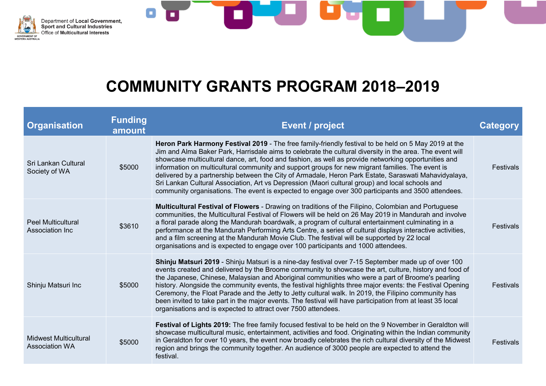



| <b>Organisation</b>                                   | <b>Funding</b><br>amount | <b>Event / project</b>                                                                                                                                                                                                                                                                                                                                                                                                                                                                                                                                                                                                                                                                                                                        | Category         |
|-------------------------------------------------------|--------------------------|-----------------------------------------------------------------------------------------------------------------------------------------------------------------------------------------------------------------------------------------------------------------------------------------------------------------------------------------------------------------------------------------------------------------------------------------------------------------------------------------------------------------------------------------------------------------------------------------------------------------------------------------------------------------------------------------------------------------------------------------------|------------------|
| Sri Lankan Cultural<br>Society of WA                  | \$5000                   | Heron Park Harmony Festival 2019 - The free family-friendly festival to be held on 5 May 2019 at the<br>Jim and Alma Baker Park, Harrisdale aims to celebrate the cultural diversity in the area. The event will<br>showcase multicultural dance, art, food and fashion, as well as provide networking opportunities and<br>information on multicultural community and support groups for new migrant families. The event is<br>delivered by a partnership between the City of Armadale, Heron Park Estate, Saraswati Mahavidyalaya,<br>Sri Lankan Cultural Association, Art vs Depression (Maori cultural group) and local schools and<br>community organisations. The event is expected to engage over 300 participants and 3500 attendees. | <b>Festivals</b> |
| <b>Peel Multicultural</b><br>Association Inc          | \$3610                   | <b>Multicultural Festival of Flowers - Drawing on traditions of the Filipino, Colombian and Portuguese</b><br>communities, the Multicultural Festival of Flowers will be held on 26 May 2019 in Mandurah and involve<br>a floral parade along the Mandurah boardwalk, a program of cultural entertainment culminating in a<br>performance at the Mandurah Performing Arts Centre, a series of cultural displays interactive activities,<br>and a film screening at the Mandurah Movie Club. The festival will be supported by 22 local<br>organisations and is expected to engage over 100 participants and 1000 attendees.                                                                                                                   | <b>Festivals</b> |
| Shinju Matsuri Inc                                    | \$5000                   | Shinju Matsuri 2019 - Shinju Matsuri is a nine-day festival over 7-15 September made up of over 100<br>events created and delivered by the Broome community to showcase the art, culture, history and food of<br>the Japanese, Chinese, Malaysian and Aboriginal communities who were a part of Broome's pearling<br>history. Alongside the community events, the festival highlights three major events: the Festival Opening<br>Ceremony, the Float Parade and the Jetty to Jetty cultural walk. In 2019, the Filipino community has<br>been invited to take part in the major events. The festival will have participation from at least 35 local<br>organisations and is expected to attract over 7500 attendees.                         | <b>Festivals</b> |
| <b>Midwest Multicultural</b><br><b>Association WA</b> | \$5000                   | Festival of Lights 2019: The free family focused festival to be held on the 9 November in Geraldton will<br>showcase multicultural music, entertainment, activities and food. Originating within the Indian community<br>in Geraldton for over 10 years, the event now broadly celebrates the rich cultural diversity of the Midwest<br>region and brings the community together. An audience of 3000 people are expected to attend the<br>festival.                                                                                                                                                                                                                                                                                          | <b>Festivals</b> |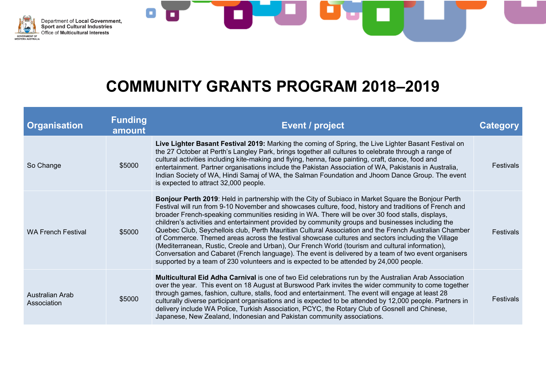



| <b>Organisation</b>            | <b>Funding</b><br>amount | Event / project                                                                                                                                                                                                                                                                                                                                                                                                                                                                                                                                                                                                                                                                                                                                                                                                                                                                                                                           | Category         |
|--------------------------------|--------------------------|-------------------------------------------------------------------------------------------------------------------------------------------------------------------------------------------------------------------------------------------------------------------------------------------------------------------------------------------------------------------------------------------------------------------------------------------------------------------------------------------------------------------------------------------------------------------------------------------------------------------------------------------------------------------------------------------------------------------------------------------------------------------------------------------------------------------------------------------------------------------------------------------------------------------------------------------|------------------|
| So Change                      | \$5000                   | Live Lighter Basant Festival 2019: Marking the coming of Spring, the Live Lighter Basant Festival on<br>the 27 October at Perth's Langley Park, brings together all cultures to celebrate through a range of<br>cultural activities including kite-making and flying, henna, face painting, craft, dance, food and<br>entertainment. Partner organisations include the Pakistan Association of WA, Pakistanis in Australia,<br>Indian Society of WA, Hindi Samaj of WA, the Salman Foundation and Jhoom Dance Group. The event<br>is expected to attract 32,000 people.                                                                                                                                                                                                                                                                                                                                                                   | <b>Festivals</b> |
| <b>WA French Festival</b>      | \$5000                   | Bonjour Perth 2019: Held in partnership with the City of Subiaco in Market Square the Bonjour Perth<br>Festival will run from 9-10 November and showcases culture, food, history and traditions of French and<br>broader French-speaking communities residing in WA. There will be over 30 food stalls, displays,<br>children's activities and entertainment provided by community groups and businesses including the<br>Quebec Club, Seychellois club, Perth Mauritian Cultural Association and the French Australian Chamber<br>of Commerce. Themed areas across the festival showcase cultures and sectors including the Village<br>(Mediterranean, Rustic, Creole and Urban), Our French World (tourism and cultural information),<br>Conversation and Cabaret (French language). The event is delivered by a team of two event organisers<br>supported by a team of 230 volunteers and is expected to be attended by 24,000 people. | Festivals        |
| Australian Arab<br>Association | \$5000                   | <b>Multicultural Eid Adha Carnival</b> is one of two Eid celebrations run by the Australian Arab Association<br>over the year. This event on 18 August at Burswood Park invites the wider community to come together<br>through games, fashion, culture, stalls, food and entertainment. The event will engage at least 28<br>culturally diverse participant organisations and is expected to be attended by 12,000 people. Partners in<br>delivery include WA Police, Turkish Association, PCYC, the Rotary Club of Gosnell and Chinese,<br>Japanese, New Zealand, Indonesian and Pakistan community associations.                                                                                                                                                                                                                                                                                                                       | <b>Festivals</b> |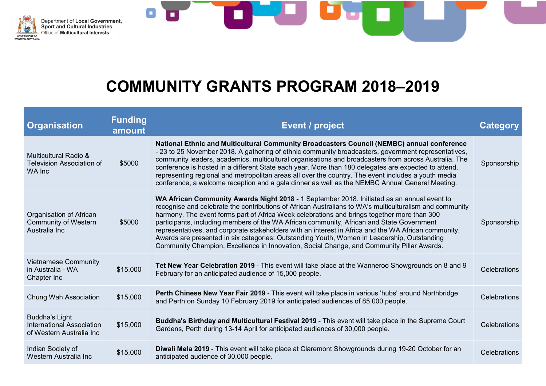



| <b>Organisation</b>                                                                   | <b>Funding</b><br>amount | <b>Event / project</b>                                                                                                                                                                                                                                                                                                                                                                                                                                                                                                                                                                                                                                                                                | <b>Category</b>     |
|---------------------------------------------------------------------------------------|--------------------------|-------------------------------------------------------------------------------------------------------------------------------------------------------------------------------------------------------------------------------------------------------------------------------------------------------------------------------------------------------------------------------------------------------------------------------------------------------------------------------------------------------------------------------------------------------------------------------------------------------------------------------------------------------------------------------------------------------|---------------------|
| <b>Multicultural Radio &amp;</b><br><b>Television Association of</b><br>WA Inc        | \$5000                   | National Ethnic and Multicultural Community Broadcasters Council (NEMBC) annual conference<br>- 23 to 25 November 2018. A gathering of ethnic community broadcasters, government representatives,<br>community leaders, academics, multicultural organisations and broadcasters from across Australia. The<br>conference is hosted in a different State each year. More than 180 delegates are expected to attend,<br>representing regional and metropolitan areas all over the country. The event includes a youth media<br>conference, a welcome reception and a gala dinner as well as the NEMBC Annual General Meeting.                                                                           | Sponsorship         |
| Organisation of African<br><b>Community of Western</b><br>Australia Inc               | \$5000                   | WA African Community Awards Night 2018 - 1 September 2018. Initiated as an annual event to<br>recognise and celebrate the contributions of African Australians to WA's multiculturalism and community<br>harmony. The event forms part of Africa Week celebrations and brings together more than 300<br>participants, including members of the WA African community, African and State Government<br>representatives, and corporate stakeholders with an interest in Africa and the WA African community.<br>Awards are presented in six categories: Outstanding Youth, Women in Leadership, Outstanding<br>Community Champion, Excellence in Innovation, Social Change, and Community Pillar Awards. | Sponsorship         |
| <b>Vietnamese Community</b><br>in Australia - WA<br>Chapter Inc                       | \$15,000                 | Tet New Year Celebration 2019 - This event will take place at the Wanneroo Showgrounds on 8 and 9<br>February for an anticipated audience of 15,000 people.                                                                                                                                                                                                                                                                                                                                                                                                                                                                                                                                           | Celebrations        |
| Chung Wah Association                                                                 | \$15,000                 | Perth Chinese New Year Fair 2019 - This event will take place in various 'hubs' around Northbridge<br>and Perth on Sunday 10 February 2019 for anticipated audiences of 85,000 people.                                                                                                                                                                                                                                                                                                                                                                                                                                                                                                                | <b>Celebrations</b> |
| <b>Buddha's Light</b><br><b>International Association</b><br>of Western Australia Inc | \$15,000                 | Buddha's Birthday and Multicultural Festival 2019 - This event will take place in the Supreme Court<br>Gardens, Perth during 13-14 April for anticipated audiences of 30,000 people.                                                                                                                                                                                                                                                                                                                                                                                                                                                                                                                  | Celebrations        |
| Indian Society of<br>Western Australia Inc                                            | \$15,000                 | Diwali Mela 2019 - This event will take place at Claremont Showgrounds during 19-20 October for an<br>anticipated audience of 30,000 people.                                                                                                                                                                                                                                                                                                                                                                                                                                                                                                                                                          | <b>Celebrations</b> |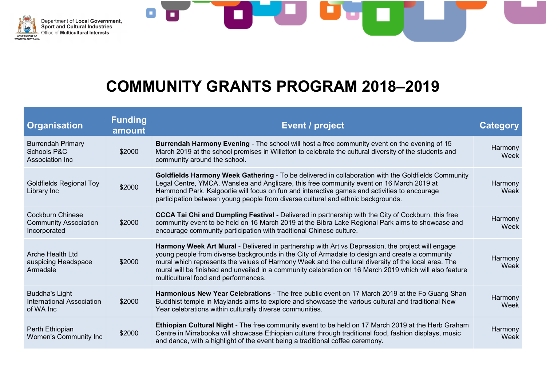



| <b>Organisation</b>                                                     | <b>Funding</b><br>amount | Event / project                                                                                                                                                                                                                                                                                                                                                                                                                                               | Category        |
|-------------------------------------------------------------------------|--------------------------|---------------------------------------------------------------------------------------------------------------------------------------------------------------------------------------------------------------------------------------------------------------------------------------------------------------------------------------------------------------------------------------------------------------------------------------------------------------|-----------------|
| <b>Burrendah Primary</b><br><b>Schools P&amp;C</b><br>Association Inc   | \$2000                   | Burrendah Harmony Evening - The school will host a free community event on the evening of 15<br>March 2019 at the school premises in Willetton to celebrate the cultural diversity of the students and<br>community around the school.                                                                                                                                                                                                                        | Harmony<br>Week |
| <b>Goldfields Regional Toy</b><br>Library Inc                           | \$2000                   | Goldfields Harmony Week Gathering - To be delivered in collaboration with the Goldfields Community<br>Legal Centre, YMCA, Wanslea and Anglicare, this free community event on 16 March 2019 at<br>Hammond Park, Kalgoorlie will focus on fun and interactive games and activities to encourage<br>participation between young people from diverse cultural and ethnic backgrounds.                                                                            | Harmony<br>Week |
| <b>Cockburn Chinese</b><br><b>Community Association</b><br>Incorporated | \$2000                   | <b>CCCA Tai Chi and Dumpling Festival - Delivered in partnership with the City of Cockburn, this free</b><br>community event to be held on 16 March 2019 at the Bibra Lake Regional Park aims to showcase and<br>encourage community participation with traditional Chinese culture.                                                                                                                                                                          | Harmony<br>Week |
| <b>Arche Health Ltd</b><br>auspicing Headspace<br>Armadale              | \$2000                   | Harmony Week Art Mural - Delivered in partnership with Art vs Depression, the project will engage<br>young people from diverse backgrounds in the City of Armadale to design and create a community<br>mural which represents the values of Harmony Week and the cultural diversity of the local area. The<br>mural will be finished and unveiled in a community celebration on 16 March 2019 which will also feature<br>multicultural food and performances. | Harmony<br>Week |
| <b>Buddha's Light</b><br><b>International Association</b><br>of WA Inc  | \$2000                   | Harmonious New Year Celebrations - The free public event on 17 March 2019 at the Fo Guang Shan<br>Buddhist temple in Maylands aims to explore and showcase the various cultural and traditional New<br>Year celebrations within culturally diverse communities.                                                                                                                                                                                               | Harmony<br>Week |
| Perth Ethiopian<br>Women's Community Inc                                | \$2000                   | Ethiopian Cultural Night - The free community event to be held on 17 March 2019 at the Herb Graham<br>Centre in Mirrabooka will showcase Ethiopian culture through traditional food, fashion displays, music<br>and dance, with a highlight of the event being a traditional coffee ceremony.                                                                                                                                                                 | Harmony<br>Week |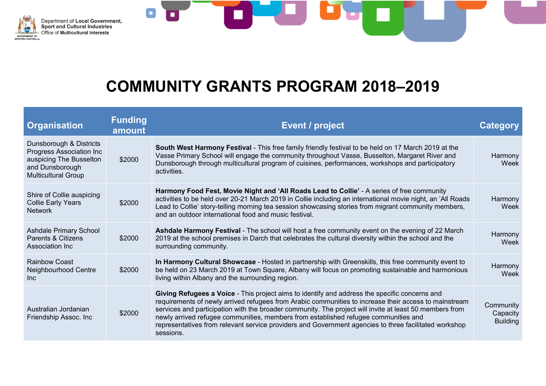



| <b>Organisation</b>                                                                                                             | <b>Funding</b><br>amount | Event / project                                                                                                                                                                                                                                                                                                                                                                                                                                                                                                                | Category                                 |
|---------------------------------------------------------------------------------------------------------------------------------|--------------------------|--------------------------------------------------------------------------------------------------------------------------------------------------------------------------------------------------------------------------------------------------------------------------------------------------------------------------------------------------------------------------------------------------------------------------------------------------------------------------------------------------------------------------------|------------------------------------------|
| Dunsborough & Districts<br>Progress Association Inc<br>auspicing The Busselton<br>and Dunsborough<br><b>Multicultural Group</b> | \$2000                   | South West Harmony Festival - This free family friendly festival to be held on 17 March 2019 at the<br>Vasse Primary School will engage the community throughout Vasse, Busselton, Margaret River and<br>Dunsborough through multicultural program of cuisines, performances, workshops and participatory<br>activities.                                                                                                                                                                                                       | Harmony<br>Week                          |
| Shire of Collie auspicing<br><b>Collie Early Years</b><br><b>Network</b>                                                        | \$2000                   | Harmony Food Fest, Movie Night and 'All Roads Lead to Collie' - A series of free community<br>activities to be held over 20-21 March 2019 in Collie including an international movie night, an 'All Roads<br>Lead to Collie' story-telling morning tea session showcasing stories from migrant community members,<br>and an outdoor international food and music festival.                                                                                                                                                     | Harmony<br>Week                          |
| <b>Ashdale Primary School</b><br>Parents & Citizens<br>Association Inc                                                          | \$2000                   | Ashdale Harmony Festival - The school will host a free community event on the evening of 22 March<br>2019 at the school premises in Darch that celebrates the cultural diversity within the school and the<br>surrounding community.                                                                                                                                                                                                                                                                                           | Harmony<br>Week                          |
| Rainbow Coast<br>Neighbourhood Centre<br>Inc.                                                                                   | \$2000                   | In Harmony Cultural Showcase - Hosted in partnership with Greenskills, this free community event to<br>be held on 23 March 2019 at Town Square, Albany will focus on promoting sustainable and harmonious<br>living within Albany and the surrounding region.                                                                                                                                                                                                                                                                  | Harmony<br>Week                          |
| Australian Jordanian<br>Friendship Assoc. Inc                                                                                   | \$2000                   | Giving Refugees a Voice - This project aims to identify and address the specific concerns and<br>requirements of newly arrived refugees from Arabic communities to increase their access to mainstream<br>services and participation with the broader community. The project will invite at least 50 members from<br>newly arrived refugee communities, members from established refugee communities and<br>representatives from relevant service providers and Government agencies to three facilitated workshop<br>sessions. | Community<br>Capacity<br><b>Building</b> |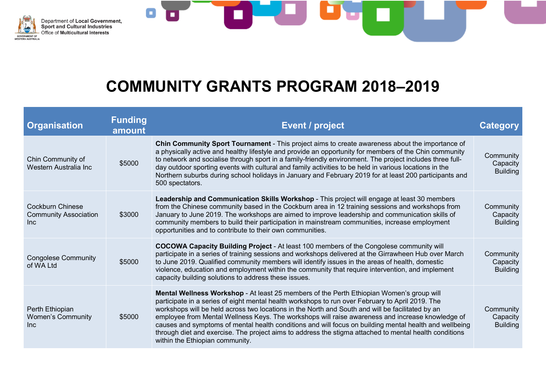



| <b>Organisation</b>                                             | <b>Funding</b><br>amount | <b>Event / project</b>                                                                                                                                                                                                                                                                                                                                                                                                                                                                                                                                                                                                                                      | Category                                 |
|-----------------------------------------------------------------|--------------------------|-------------------------------------------------------------------------------------------------------------------------------------------------------------------------------------------------------------------------------------------------------------------------------------------------------------------------------------------------------------------------------------------------------------------------------------------------------------------------------------------------------------------------------------------------------------------------------------------------------------------------------------------------------------|------------------------------------------|
| Chin Community of<br>Western Australia Inc                      | \$5000                   | <b>Chin Community Sport Tournament</b> - This project aims to create awareness about the importance of<br>a physically active and healthy lifestyle and provide an opportunity for members of the Chin community<br>to network and socialise through sport in a family-friendly environment. The project includes three full-<br>day outdoor sporting events with cultural and family activities to be held in various locations in the<br>Northern suburbs during school holidays in January and February 2019 for at least 200 participants and<br>500 spectators.                                                                                        | Community<br>Capacity<br><b>Building</b> |
| <b>Cockburn Chinese</b><br><b>Community Association</b><br>Inc. | \$3000                   | Leadership and Communication Skills Workshop - This project will engage at least 30 members<br>from the Chinese community based in the Cockburn area in 12 training sessions and workshops from<br>January to June 2019. The workshops are aimed to improve leadership and communication skills of<br>community members to build their participation in mainstream communities, increase employment<br>opportunities and to contribute to their own communities.                                                                                                                                                                                            | Community<br>Capacity<br><b>Building</b> |
| <b>Congolese Community</b><br>of WA Ltd                         | \$5000                   | COCOWA Capacity Building Project - At least 100 members of the Congolese community will<br>participate in a series of training sessions and workshops delivered at the Girrawheen Hub over March<br>to June 2019. Qualified community members will identify issues in the areas of health, domestic<br>violence, education and employment within the community that require intervention, and implement<br>capacity building solutions to address these issues.                                                                                                                                                                                             | Community<br>Capacity<br><b>Building</b> |
| Perth Ethiopian<br><b>Women's Community</b><br>Inc.             | \$5000                   | Mental Wellness Workshop - At least 25 members of the Perth Ethiopian Women's group will<br>participate in a series of eight mental health workshops to run over February to April 2019. The<br>workshops will be held across two locations in the North and South and will be facilitated by an<br>employee from Mental Wellness Keys. The workshops will raise awareness and increase knowledge of<br>causes and symptoms of mental health conditions and will focus on building mental health and wellbeing<br>through diet and exercise. The project aims to address the stigma attached to mental health conditions<br>within the Ethiopian community. | Community<br>Capacity<br><b>Building</b> |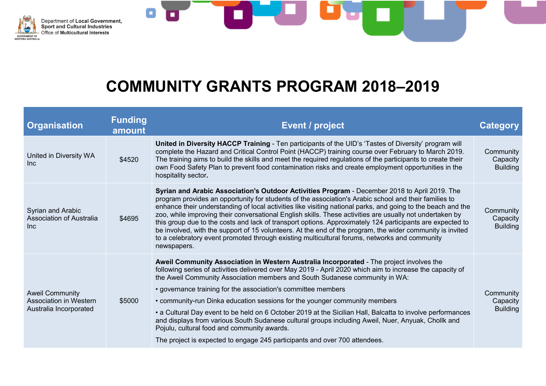



| <b>Organisation</b>                                                               | <b>Funding</b><br>amount | <b>Event / project</b>                                                                                                                                                                                                                                                                                                                                                                                                                                                                                                                                                                                                                                                                                                                                                               | <b>Category</b>                          |
|-----------------------------------------------------------------------------------|--------------------------|--------------------------------------------------------------------------------------------------------------------------------------------------------------------------------------------------------------------------------------------------------------------------------------------------------------------------------------------------------------------------------------------------------------------------------------------------------------------------------------------------------------------------------------------------------------------------------------------------------------------------------------------------------------------------------------------------------------------------------------------------------------------------------------|------------------------------------------|
| United in Diversity WA<br>Inc                                                     | \$4520                   | United in Diversity HACCP Training - Ten participants of the UID's 'Tastes of Diversity' program will<br>complete the Hazard and Critical Control Point (HACCP) training course over February to March 2019.<br>The training aims to build the skills and meet the required regulations of the participants to create their<br>own Food Safety Plan to prevent food contamination risks and create employment opportunities in the<br>hospitality sector.                                                                                                                                                                                                                                                                                                                            | Community<br>Capacity<br><b>Building</b> |
| Syrian and Arabic<br><b>Association of Australia</b><br>Inc.                      | \$4695                   | Syrian and Arabic Association's Outdoor Activities Program - December 2018 to April 2019. The<br>program provides an opportunity for students of the association's Arabic school and their families to<br>enhance their understanding of local activities like visiting national parks, and going to the beach and the<br>zoo, while improving their conversational English skills. These activities are usually not undertaken by<br>this group due to the costs and lack of transport options. Approximately 124 participants are expected to<br>be involved, with the support of 15 volunteers. At the end of the program, the wider community is invited<br>to a celebratory event promoted through existing multicultural forums, networks and community<br>newspapers.         | Community<br>Capacity<br><b>Building</b> |
| <b>Aweil Community</b><br><b>Association in Western</b><br>Australia Incorporated | \$5000                   | Aweil Community Association in Western Australia Incorporated - The project involves the<br>following series of activities delivered over May 2019 - April 2020 which aim to increase the capacity of<br>the Aweil Community Association members and South Sudanese community in WA:<br>• governance training for the association's committee members<br>• community-run Dinka education sessions for the younger community members<br>• a Cultural Day event to be held on 6 October 2019 at the Sicilian Hall, Balcatta to involve performances<br>and displays from various South Sudanese cultural groups including Aweil, Nuer, Anyuak, Chollk and<br>Pojulu, cultural food and community awards.<br>The project is expected to engage 245 participants and over 700 attendees. | Community<br>Capacity<br><b>Building</b> |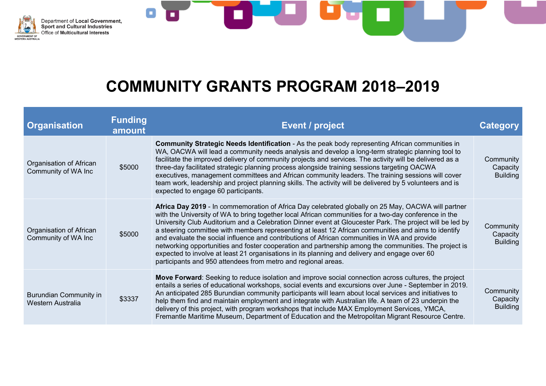



| <b>Organisation</b>                                | <b>Funding</b><br>amount | Event / project                                                                                                                                                                                                                                                                                                                                                                                                                                                                                                                                                                                                                                                                                                                                                                                           | Category                                 |
|----------------------------------------------------|--------------------------|-----------------------------------------------------------------------------------------------------------------------------------------------------------------------------------------------------------------------------------------------------------------------------------------------------------------------------------------------------------------------------------------------------------------------------------------------------------------------------------------------------------------------------------------------------------------------------------------------------------------------------------------------------------------------------------------------------------------------------------------------------------------------------------------------------------|------------------------------------------|
| Organisation of African<br>Community of WA Inc     | \$5000                   | Community Strategic Needs Identification - As the peak body representing African communities in<br>WA, OACWA will lead a community needs analysis and develop a long-term strategic planning tool to<br>facilitate the improved delivery of community projects and services. The activity will be delivered as a<br>three-day facilitated strategic planning process alongside training sessions targeting OACWA<br>executives, management committees and African community leaders. The training sessions will cover<br>team work, leadership and project planning skills. The activity will be delivered by 5 volunteers and is<br>expected to engage 60 participants.                                                                                                                                  | Community<br>Capacity<br><b>Building</b> |
| Organisation of African<br>Community of WA Inc     | \$5000                   | Africa Day 2019 - In commemoration of Africa Day celebrated globally on 25 May, OACWA will partner<br>with the University of WA to bring together local African communities for a two-day conference in the<br>University Club Auditorium and a Celebration Dinner event at Gloucester Park. The project will be led by<br>a steering committee with members representing at least 12 African communities and aims to identify<br>and evaluate the social influence and contributions of African communities in WA and provide<br>networking opportunities and foster cooperation and partnership among the communities. The project is<br>expected to involve at least 21 organisations in its planning and delivery and engage over 60<br>participants and 950 attendees from metro and regional areas. | Community<br>Capacity<br><b>Building</b> |
| <b>Burundian Community in</b><br>Western Australia | \$3337                   | Move Forward: Seeking to reduce isolation and improve social connection across cultures, the project<br>entails a series of educational workshops, social events and excursions over June - September in 2019.<br>An anticipated 285 Burundian community participants will learn about local services and initiatives to<br>help them find and maintain employment and integrate with Australian life. A team of 23 underpin the<br>delivery of this project, with program workshops that include MAX Employment Services, YMCA,<br>Fremantle Maritime Museum, Department of Education and the Metropolitan Migrant Resource Centre.                                                                                                                                                                      | Community<br>Capacity<br><b>Building</b> |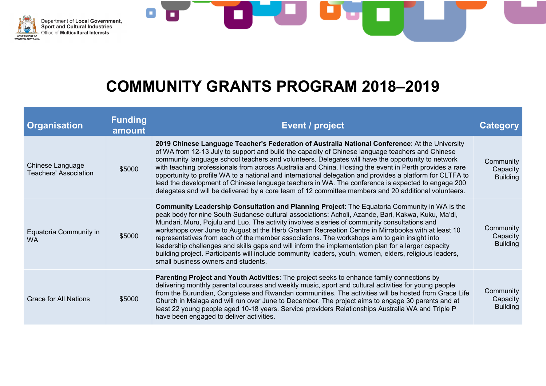



| <b>Organisation</b>                              | <b>Funding</b><br>amount | <b>Event / project</b>                                                                                                                                                                                                                                                                                                                                                                                                                                                                                                                                                                                                                                                                                                                                           | Category                                 |
|--------------------------------------------------|--------------------------|------------------------------------------------------------------------------------------------------------------------------------------------------------------------------------------------------------------------------------------------------------------------------------------------------------------------------------------------------------------------------------------------------------------------------------------------------------------------------------------------------------------------------------------------------------------------------------------------------------------------------------------------------------------------------------------------------------------------------------------------------------------|------------------------------------------|
| Chinese Language<br><b>Teachers' Association</b> | \$5000                   | 2019 Chinese Language Teacher's Federation of Australia National Conference: At the University<br>of WA from 12-13 July to support and build the capacity of Chinese language teachers and Chinese<br>community language school teachers and volunteers. Delegates will have the opportunity to network<br>with teaching professionals from across Australia and China. Hosting the event in Perth provides a rare<br>opportunity to profile WA to a national and international delegation and provides a platform for CLTFA to<br>lead the development of Chinese language teachers in WA. The conference is expected to engage 200<br>delegates and will be delivered by a core team of 12 committee members and 20 additional volunteers.                     | Community<br>Capacity<br><b>Building</b> |
| Equatoria Community in<br><b>WA</b>              | \$5000                   | Community Leadership Consultation and Planning Project: The Equatoria Community in WA is the<br>peak body for nine South Sudanese cultural associations: Acholi, Azande, Bari, Kakwa, Kuku, Ma'di,<br>Mundari, Muru, Pojulu and Luo. The activity involves a series of community consultations and<br>workshops over June to August at the Herb Graham Recreation Centre in Mirrabooka with at least 10<br>representatives from each of the member associations. The workshops aim to gain insight into<br>leadership challenges and skills gaps and will inform the implementation plan for a larger capacity<br>building project. Participants will include community leaders, youth, women, elders, religious leaders,<br>small business owners and students. | Community<br>Capacity<br><b>Building</b> |
| <b>Grace for All Nations</b>                     | \$5000                   | <b>Parenting Project and Youth Activities:</b> The project seeks to enhance family connections by<br>delivering monthly parental courses and weekly music, sport and cultural activities for young people<br>from the Burundian, Congolese and Rwandan communities. The activities will be hosted from Grace Life<br>Church in Malaga and will run over June to December. The project aims to engage 30 parents and at<br>least 22 young people aged 10-18 years. Service providers Relationships Australia WA and Triple P<br>have been engaged to deliver activities.                                                                                                                                                                                          | Community<br>Capacity<br><b>Building</b> |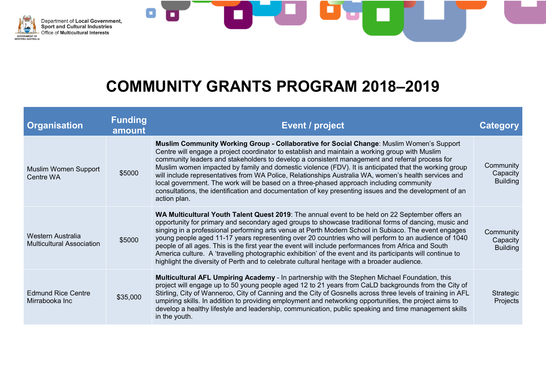



| <b>Organisation</b>                                   | <b>Funding</b><br>amount | <b>Event / project</b>                                                                                                                                                                                                                                                                                                                                                                                                                                                                                                                                                                                                                                                                                                                         | Category                                 |
|-------------------------------------------------------|--------------------------|------------------------------------------------------------------------------------------------------------------------------------------------------------------------------------------------------------------------------------------------------------------------------------------------------------------------------------------------------------------------------------------------------------------------------------------------------------------------------------------------------------------------------------------------------------------------------------------------------------------------------------------------------------------------------------------------------------------------------------------------|------------------------------------------|
| Muslim Women Support<br>Centre WA                     | \$5000                   | Muslim Community Working Group - Collaborative for Social Change: Muslim Women's Support<br>Centre will engage a project coordinator to establish and maintain a working group with Muslim<br>community leaders and stakeholders to develop a consistent management and referral process for<br>Muslim women impacted by family and domestic violence (FDV). It is anticipated that the working group<br>will include representatives from WA Police, Relationships Australia WA, women's health services and<br>local government. The work will be based on a three-phased approach including community<br>consultations, the identification and documentation of key presenting issues and the development of an<br>action plan.             | Community<br>Capacity<br><b>Building</b> |
| Western Australia<br><b>Multicultural Association</b> | \$5000                   | WA Multicultural Youth Talent Quest 2019: The annual event to be held on 22 September offers an<br>opportunity for primary and secondary aged groups to showcase traditional forms of dancing, music and<br>singing in a professional performing arts venue at Perth Modern School in Subiaco. The event engages<br>young people aged 11-17 years representing over 20 countries who will perform to an audience of 1040<br>people of all ages. This is the first year the event will include performances from Africa and South<br>America culture. A 'travelling photographic exhibition' of the event and its participants will continue to<br>highlight the diversity of Perth and to celebrate cultural heritage with a broader audience. | Community<br>Capacity<br><b>Building</b> |
| <b>Edmund Rice Centre</b><br>Mirrabooka Inc           | \$35,000                 | <b>Multicultural AFL Umpiring Academy - In partnership with the Stephen Michael Foundation, this</b><br>project will engage up to 50 young people aged 12 to 21 years from CaLD backgrounds from the City of<br>Stirling, City of Wanneroo, City of Canning and the City of Gosnells across three levels of training in AFL<br>umpiring skills. In addition to providing employment and networking opportunities, the project aims to<br>develop a healthy lifestyle and leadership, communication, public speaking and time management skills<br>in the youth.                                                                                                                                                                                | Strategic<br>Projects                    |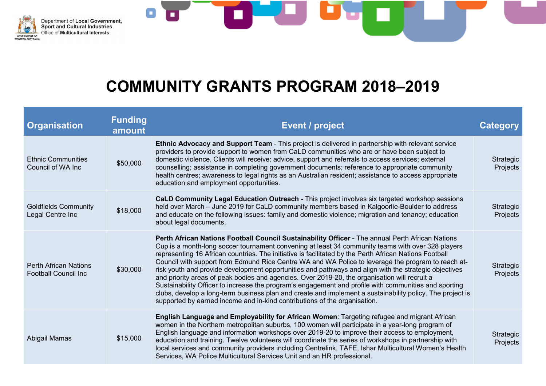



| <b>Organisation</b>                                          | <b>Funding</b><br>amount | <b>Event / project</b>                                                                                                                                                                                                                                                                                                                                                                                                                                                                                                                                                                                                                                                                                                                                                                                                                                                                                                             | Category                     |
|--------------------------------------------------------------|--------------------------|------------------------------------------------------------------------------------------------------------------------------------------------------------------------------------------------------------------------------------------------------------------------------------------------------------------------------------------------------------------------------------------------------------------------------------------------------------------------------------------------------------------------------------------------------------------------------------------------------------------------------------------------------------------------------------------------------------------------------------------------------------------------------------------------------------------------------------------------------------------------------------------------------------------------------------|------------------------------|
| <b>Ethnic Communities</b><br>Council of WA Inc               | \$50,000                 | <b>Ethnic Advocacy and Support Team</b> - This project is delivered in partnership with relevant service<br>providers to provide support to women from CaLD communities who are or have been subject to<br>domestic violence. Clients will receive: advice, support and referrals to access services; external<br>counselling; assistance in completing government documents; reference to appropriate community<br>health centres; awareness to legal rights as an Australian resident; assistance to access appropriate<br>education and employment opportunities.                                                                                                                                                                                                                                                                                                                                                               | Strategic<br>Projects        |
| <b>Goldfields Community</b><br>Legal Centre Inc              | \$18,000                 | CaLD Community Legal Education Outreach - This project involves six targeted workshop sessions<br>held over March - June 2019 for CaLD community members based in Kalgoorlie-Boulder to address<br>and educate on the following issues: family and domestic violence; migration and tenancy; education<br>about legal documents.                                                                                                                                                                                                                                                                                                                                                                                                                                                                                                                                                                                                   | <b>Strategic</b><br>Projects |
| <b>Perth African Nations</b><br><b>Football Council Inc.</b> | \$30,000                 | Perth African Nations Football Council Sustainability Officer - The annual Perth African Nations<br>Cup is a month-long soccer tournament convening at least 34 community teams with over 328 players<br>representing 16 African countries. The initiative is facilitated by the Perth African Nations Football<br>Council with support from Edmund Rice Centre WA and WA Police to leverage the program to reach at-<br>risk youth and provide development opportunities and pathways and align with the strategic objectives<br>and priority areas of peak bodies and agencies. Over 2019-20, the organisation will recruit a<br>Sustainability Officer to increase the program's engagement and profile with communities and sporting<br>clubs, develop a long-term business plan and create and implement a sustainability policy. The project is<br>supported by earned income and in-kind contributions of the organisation. | Strategic<br>Projects        |
| Abigail Mamas                                                | \$15,000                 | English Language and Employability for African Women: Targeting refugee and migrant African<br>women in the Northern metropolitan suburbs, 100 women will participate in a year-long program of<br>English language and information workshops over 2019-20 to improve their access to employment,<br>education and training. Twelve volunteers will coordinate the series of workshops in partnership with<br>local services and community providers including Centrelink, TAFE, Ishar Multicultural Women's Health<br>Services, WA Police Multicultural Services Unit and an HR professional.                                                                                                                                                                                                                                                                                                                                     | Strategic<br>Projects        |